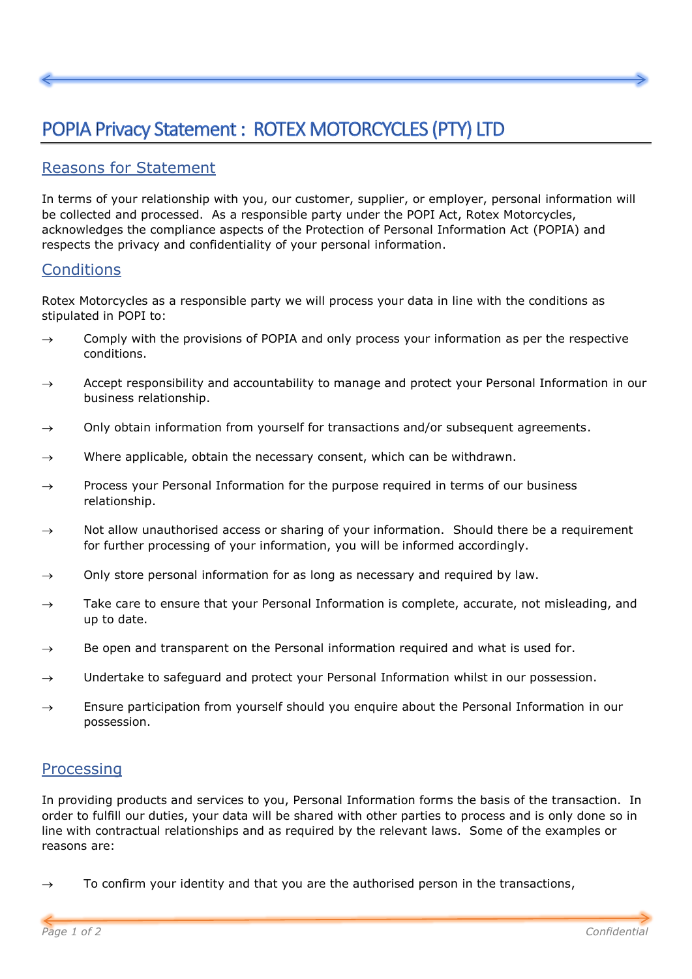## POPIA Privacy Statement : ROTEX MOTORCYCLES (PTY) LTD

## Reasons for Statement

In terms of your relationship with you, our customer, supplier, or employer, personal information will be collected and processed. As a responsible party under the POPI Act, Rotex Motorcycles, acknowledges the compliance aspects of the Protection of Personal Information Act (POPIA) and respects the privacy and confidentiality of your personal information.

## **Conditions**

Rotex Motorcycles as a responsible party we will process your data in line with the conditions as stipulated in POPI to:

- $\rightarrow$  Comply with the provisions of POPIA and only process your information as per the respective conditions.
- $\rightarrow$  Accept responsibility and accountability to manage and protect your Personal Information in our business relationship.
- $\rightarrow$  Only obtain information from yourself for transactions and/or subsequent agreements.
- $\rightarrow$  Where applicable, obtain the necessary consent, which can be withdrawn.
- $\rightarrow$  Process your Personal Information for the purpose required in terms of our business relationship.
- $\rightarrow$  Not allow unauthorised access or sharing of your information. Should there be a requirement for further processing of your information, you will be informed accordingly.
- $\rightarrow$  Only store personal information for as long as necessary and required by law.
- $\rightarrow$  Take care to ensure that your Personal Information is complete, accurate, not misleading, and up to date.
- $\rightarrow$  Be open and transparent on the Personal information required and what is used for.
- Undertake to safeguard and protect your Personal Information whilst in our possession.
- $\rightarrow$  Ensure participation from yourself should you enquire about the Personal Information in our possession.

## Processing

In providing products and services to you, Personal Information forms the basis of the transaction. In order to fulfill our duties, your data will be shared with other parties to process and is only done so in line with contractual relationships and as required by the relevant laws. Some of the examples or reasons are:

To confirm your identity and that you are the authorised person in the transactions,